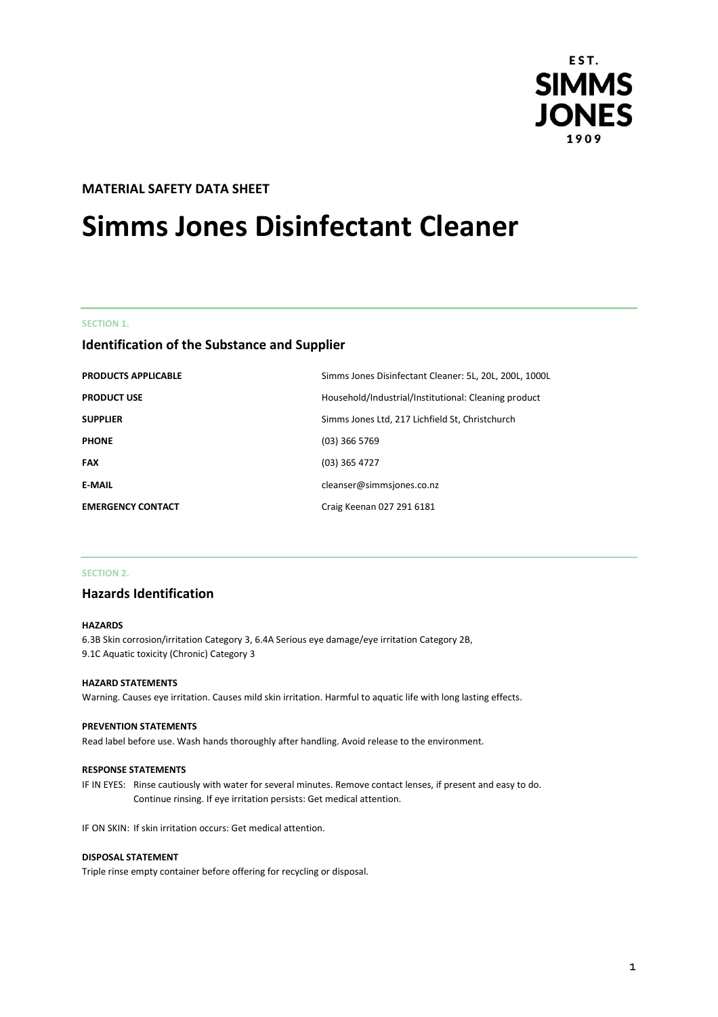

# **MATERIAL SAFETY DATA SHEET**

# **Simms Jones Disinfectant Cleaner**

## **SECTION 1.**

# **Identification of the Substance and Supplier**

| <b>PRODUCTS APPLICABLE</b> | Simms Jones Disinfectant Cleaner: 5L, 20L, 200L, 1000L |
|----------------------------|--------------------------------------------------------|
| <b>PRODUCT USE</b>         | Household/Industrial/Institutional: Cleaning product   |
| <b>SUPPLIER</b>            | Simms Jones Ltd, 217 Lichfield St, Christchurch        |
| <b>PHONE</b>               | $(03)$ 366 5769                                        |
| <b>FAX</b>                 | $(03)$ 365 4727                                        |
| <b>E-MAIL</b>              | cleanser@simmsjones.co.nz                              |
| <b>EMERGENCY CONTACT</b>   | Craig Keenan 027 291 6181                              |

## **SECTION 2.**

# **Hazards Identification**

#### **HAZARDS**

6.3B Skin corrosion/irritation Category 3, 6.4A Serious eye damage/eye irritation Category 2B, 9.1C Aquatic toxicity (Chronic) Category 3

## **HAZARD STATEMENTS**

Warning. Causes eye irritation. Causes mild skin irritation. Harmful to aquatic life with long lasting effects.

#### **PREVENTION STATEMENTS**

Read label before use. Wash hands thoroughly after handling. Avoid release to the environment.

#### **RESPONSE STATEMENTS**

IF IN EYES: Rinse cautiously with water for several minutes. Remove contact lenses, if present and easy to do. Continue rinsing. If eye irritation persists: Get medical attention.

IF ON SKIN: If skin irritation occurs: Get medical attention.

#### **DISPOSAL STATEMENT**

Triple rinse empty container before offering for recycling or disposal.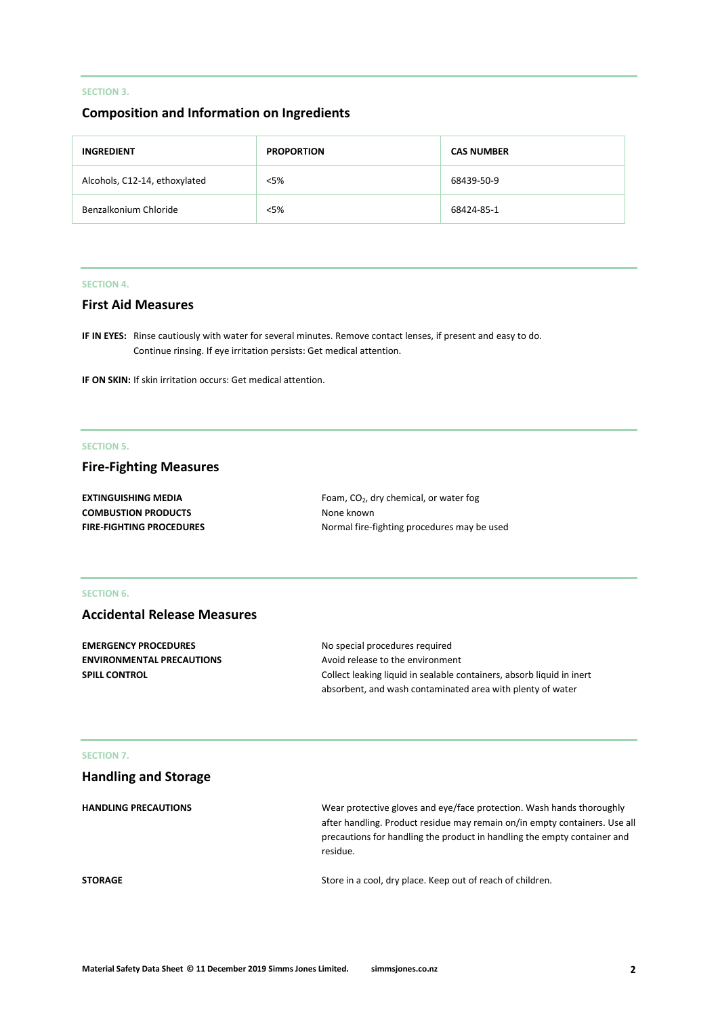# **SECTION 3.**

# **Composition and Information on Ingredients**

| <b>INGREDIENT</b>             | <b>PROPORTION</b> | <b>CAS NUMBER</b> |
|-------------------------------|-------------------|-------------------|
| Alcohols, C12-14, ethoxylated | $<$ 5%            | 68439-50-9        |
| Benzalkonium Chloride         | $<$ 5%            | 68424-85-1        |

## **SECTION 4.**

# **First Aid Measures**

**IF IN EYES:** Rinse cautiously with water for several minutes. Remove contact lenses, if present and easy to do. Continue rinsing. If eye irritation persists: Get medical attention.

**IF ON SKIN:** If skin irritation occurs: Get medical attention.

# **SECTION 5.**

# **Fire-Fighting Measures**

| <b>EXTINGUISHING MEDIA</b>      | Foam, $CO2$ , dry chemical, or water fog    |
|---------------------------------|---------------------------------------------|
| <b>COMBUSTION PRODUCTS</b>      | None known                                  |
| <b>FIRE-FIGHTING PROCEDURES</b> | Normal fire-fighting procedures may be used |

#### **SECTION 6.**

# **Accidental Release Measures**

| <b>EMERGENCY PROCEDURES</b>      | No special procedures required                                        |
|----------------------------------|-----------------------------------------------------------------------|
| <b>ENVIRONMENTAL PRECAUTIONS</b> | Avoid release to the environment                                      |
| <b>SPILL CONTROL</b>             | Collect leaking liquid in sealable containers, absorb liquid in inert |
|                                  | absorbent, and wash contaminated area with plenty of water            |

## **SECTION 7.**

| <b>Handling and Storage</b> |                                                                                                                                                                                                                                             |
|-----------------------------|---------------------------------------------------------------------------------------------------------------------------------------------------------------------------------------------------------------------------------------------|
| <b>HANDLING PRECAUTIONS</b> | Wear protective gloves and eye/face protection. Wash hands thoroughly<br>after handling. Product residue may remain on/in empty containers. Use all<br>precautions for handling the product in handling the empty container and<br>residue. |
| <b>STORAGE</b>              | Store in a cool, dry place. Keep out of reach of children.                                                                                                                                                                                  |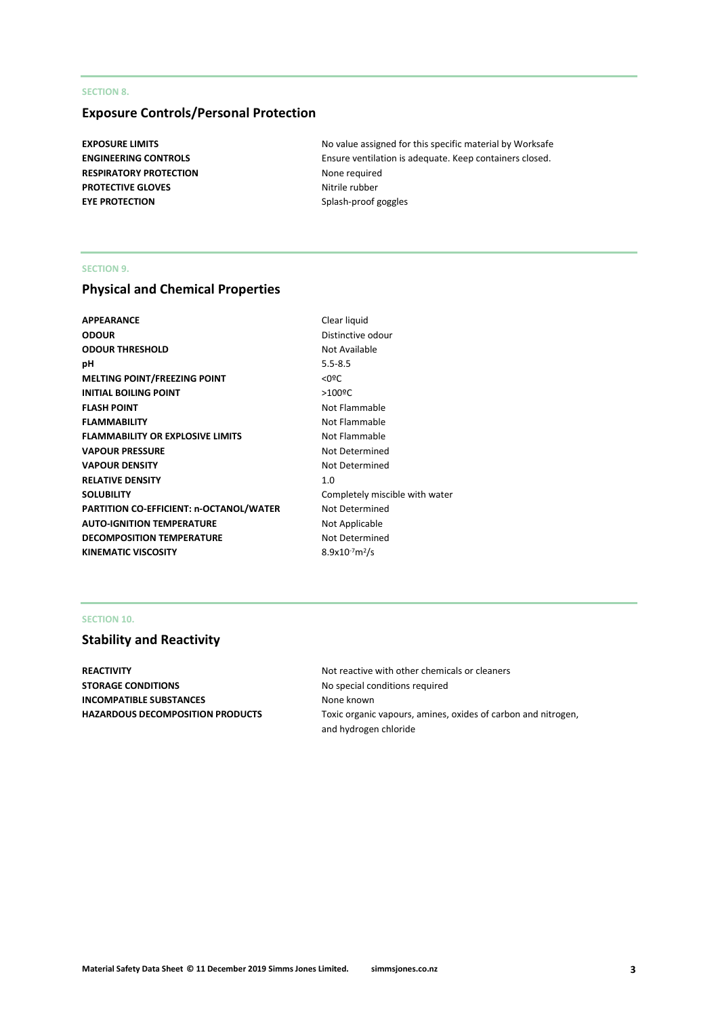## **SECTION 8.**

# **Exposure Controls/Personal Protection**

**RESPIRATORY PROTECTION** None required **PROTECTIVE GLOVES** Nitrile rubber **EYE PROTECTION** Splash-proof goggles

**EXPOSURE LIMITS EXPOSURE LIMITS No value assigned for this specific material by Worksafe ENGINEERING CONTROLS** Ensure ventilation is adequate. Keep containers closed.

#### **SECTION 9.**

# **Physical and Chemical Properties**

| <b>APPEARANCE</b>                       | Clear liquid           |
|-----------------------------------------|------------------------|
| <b>ODOUR</b>                            | Distinctive or         |
| <b>ODOUR THRESHOLD</b>                  | Not Available          |
| рH                                      | $5.5 - 8.5$            |
| <b>MELTING POINT/FREEZING POINT</b>     | $<$ 0 <sup>o</sup> $<$ |
| <b>INITIAL BOILING POINT</b>            | $>100$ <sup>o</sup> C  |
| <b>FLASH POINT</b>                      | Not Flammal            |
| <b>FLAMMABILITY</b>                     | Not Flammal            |
| <b>FLAMMABILITY OR EXPLOSIVE LIMITS</b> | Not Flammal            |
| <b>VAPOUR PRESSURE</b>                  | Not Determi            |
| <b>VAPOUR DENSITY</b>                   | Not Determi            |
| <b>RELATIVE DENSITY</b>                 | 1.0                    |
| <b>SOLUBILITY</b>                       | Completely r           |
| PARTITION CO-EFFICIENT: n-OCTANOL/WATER | Not Determi            |
| <b>AUTO-IGNITION TEMPERATURE</b>        | Not Applicab           |
| <b>DECOMPOSITION TEMPERATURE</b>        | Not Determi            |
| <b>KINEMATIC VISCOSITY</b>              | $8.9x10^{-7}m^2/s$     |
|                                         |                        |

**Clear liquid Distinctive odour Not Available Not Flammable Not Flammable Not Flammable Not Determined Not Determined** Completely miscible with water **Not Determined Not Applicable Not Determined** 

## **SECTION 10.**

# **Stability and Reactivity**

**STORAGE CONDITIONS** No special conditions required **INCOMPATIBLE SUBSTANCES** None known

**REACTIVITY REACTIVITY Not reactive with other chemicals or cleaners HAZARDOUS DECOMPOSITION PRODUCTS** Toxic organic vapours, amines, oxides of carbon and nitrogen, and hydrogen chloride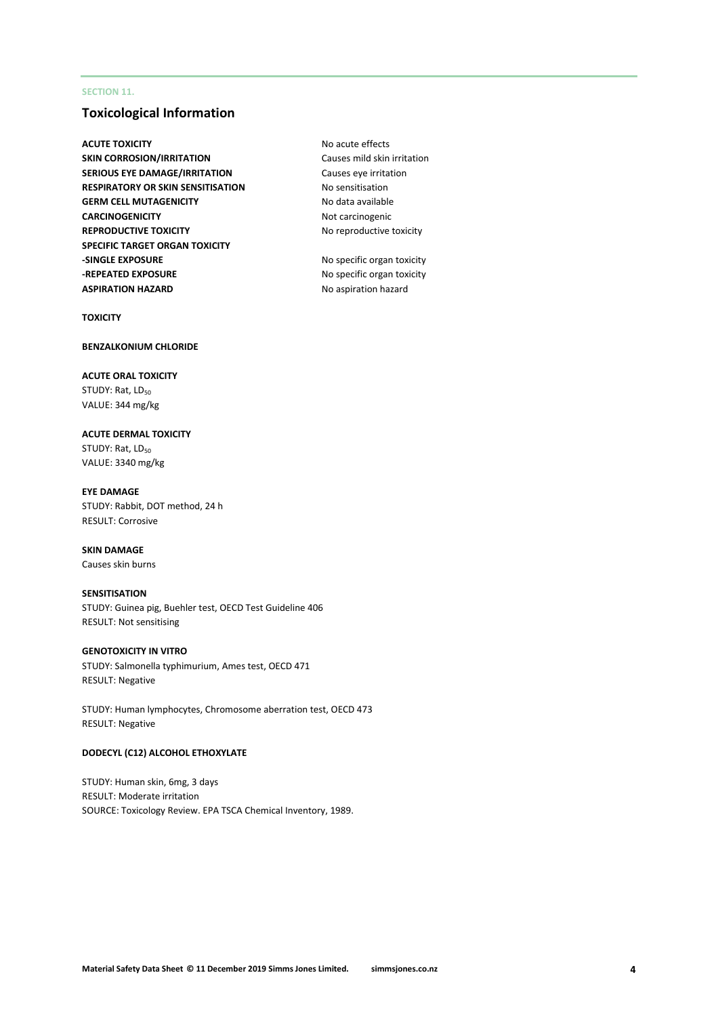## **SECTION 11.**

# **Toxicological Information**

**ACUTE TOXICITY** ACUTE **NO ACUTE TOXICITY SKIN CORROSION/IRRITATION** Causes mild skin irritation **SERIOUS EYE DAMAGE/IRRITATION** Causes eye irritation **RESPIRATORY OR SKIN SENSITISATION No sensitisation GERM CELL MUTAGENICITY** No data available **CARCINOGENICITY** Not carcinogenic **REPRODUCTIVE TOXICITY** No reproductive toxicity **SPECIFIC TARGET ORGAN TOXICITY -SINGLE EXPOSURE** No specific organ toxicity **-REPEATED EXPOSURE** No specific organ toxicity **ASPIRATION HAZARD** No aspiration hazard

**TOXICITY**

## **BENZALKONIUM CHLORIDE**

**ACUTE ORAL TOXICITY** STUDY: Rat, LD<sub>50</sub> VALUE: 344 mg/kg

**ACUTE DERMAL TOXICITY** STUDY: Rat, LD<sub>50</sub> VALUE: 3340 mg/kg

**EYE DAMAGE** STUDY: Rabbit, DOT method, 24 h RESULT: Corrosive

#### **SKIN DAMAGE** Causes skin burns

## **SENSITISATION**

STUDY: Guinea pig, Buehler test, OECD Test Guideline 406 RESULT: Not sensitising

#### **GENOTOXICITY IN VITRO**

STUDY: Salmonella typhimurium, Ames test, OECD 471 RESULT: Negative

STUDY: Human lymphocytes, Chromosome aberration test, OECD 473 RESULT: Negative

#### **DODECYL (C12) ALCOHOL ETHOXYLATE**

STUDY: Human skin, 6mg, 3 days RESULT: Moderate irritation SOURCE: Toxicology Review. EPA TSCA Chemical Inventory, 1989.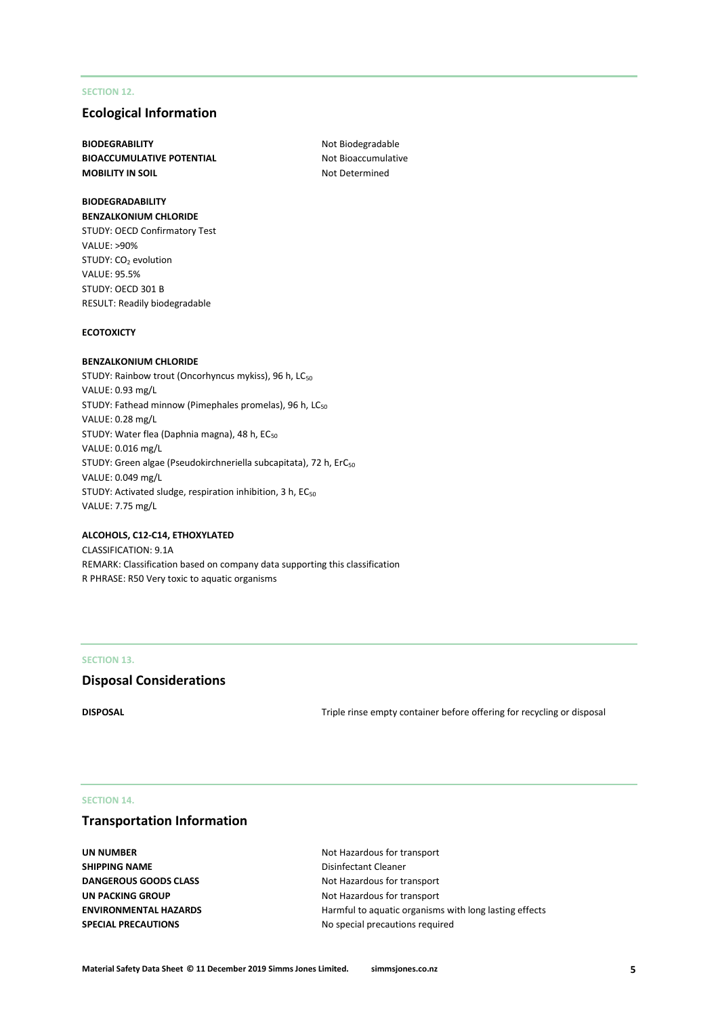## **SECTION 12.**

# **Ecological Information**

**BIODEGRABILITY** Not Biodegradable **BIOACCUMULATIVE POTENTIAL** Not Bioaccumulative **MOBILITY IN SOIL** MOBILITY IN SOIL

## **BIODEGRADABILITY BENZALKONIUM CHLORIDE**

STUDY: OECD Confirmatory Test VALUE: >90% STUDY: CO<sub>2</sub> evolution VALUE: 95.5% STUDY: OECD 301 B RESULT: Readily biodegradable

#### **ECOTOXICTY**

#### **BENZALKONIUM CHLORIDE**

STUDY: Rainbow trout (Oncorhyncus mykiss), 96 h, LC<sub>50</sub> VALUE: 0.93 mg/L STUDY: Fathead minnow (Pimephales promelas), 96 h, LC<sub>50</sub> VALUE: 0.28 mg/L STUDY: Water flea (Daphnia magna), 48 h, EC<sub>50</sub> VALUE: 0.016 mg/L STUDY: Green algae (Pseudokirchneriella subcapitata), 72 h, ErC<sub>50</sub> VALUE: 0.049 mg/L STUDY: Activated sludge, respiration inhibition, 3 h, EC<sub>50</sub> VALUE: 7.75 mg/L

#### **ALCOHOLS, C12-C14, ETHOXYLATED**

CLASSIFICATION: 9.1A REMARK: Classification based on company data supporting this classification R PHRASE: R50 Very toxic to aquatic organisms

#### **SECTION 13.**

# **Disposal Considerations**

**DISPOSAL** DISPOSAL **DISPOSAL Triple rinse empty container before offering for recycling or disposal** 

#### **SECTION 14.**

# **Transportation Information**

**SHIPPING NAME** Disinfectant Cleaner **DANGEROUS GOODS CLASS** Not Hazardous for transport **UN PACKING GROUP** Not Hazardous for transport

**UN NUMBER** Not Hazardous for transport **ENVIRONMENTAL HAZARDS** Harmful to aquatic organisms with long lasting effects **SPECIAL PRECAUTIONS** No special precautions required